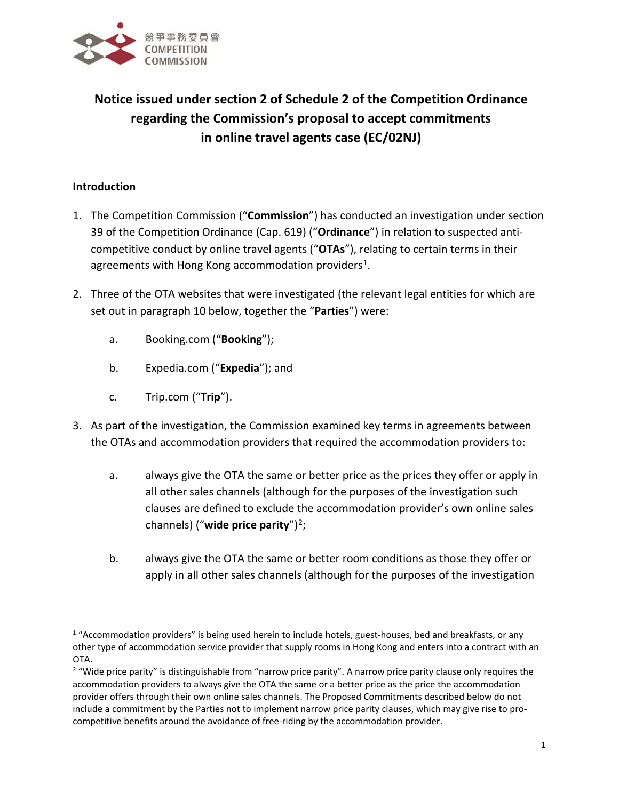

# **Notice issued under section 2 of Schedule 2 of the Competition Ordinance regarding the Commission's proposal to accept commitments in online travel agents case (EC/02NJ)**

# **Introduction**

- 1. The Competition Commission ("**Commission**") has conducted an investigation under section 39 of the Competition Ordinance (Cap. 619) ("**Ordinance**") in relation to suspected anticompetitive conduct by online travel agents ("**OTAs**"), relating to certain terms in their agreements with Hong Kong accommodation providers<sup>[1](#page-0-0)</sup>.
- 2. Three of the OTA websites that were investigated (the relevant legal entities for which are set out in paragraph 10 below, together the "**Parties**") were:
	- a. Booking.com ("**Booking**");
	- b. Expedia.com ("**Expedia**"); and
	- c. Trip.com ("**Trip**").
- 3. As part of the investigation, the Commission examined key terms in agreements between the OTAs and accommodation providers that required the accommodation providers to:
	- a. always give the OTA the same or better price as the prices they offer or apply in all other sales channels (although for the purposes of the investigation such clauses are defined to exclude the accommodation provider's own online sales channels) ("**wide price parity**")[2](#page-0-1);
	- b. always give the OTA the same or better room conditions as those they offer or apply in all other sales channels (although for the purposes of the investigation

<span id="page-0-0"></span> $1$  "Accommodation providers" is being used herein to include hotels, guest-houses, bed and breakfasts, or any other type of accommodation service provider that supply rooms in Hong Kong and enters into a contract with an

<span id="page-0-1"></span>OTA.<br><sup>2</sup> "Wide price parity" is distinguishable from "narrow price parity". A narrow price parity clause only requires the accommodation providers to always give the OTA the same or a better price as the price the accommodation provider offers through their own online sales channels. The Proposed Commitments described below do not include a commitment by the Parties not to implement narrow price parity clauses, which may give rise to procompetitive benefits around the avoidance of free-riding by the accommodation provider.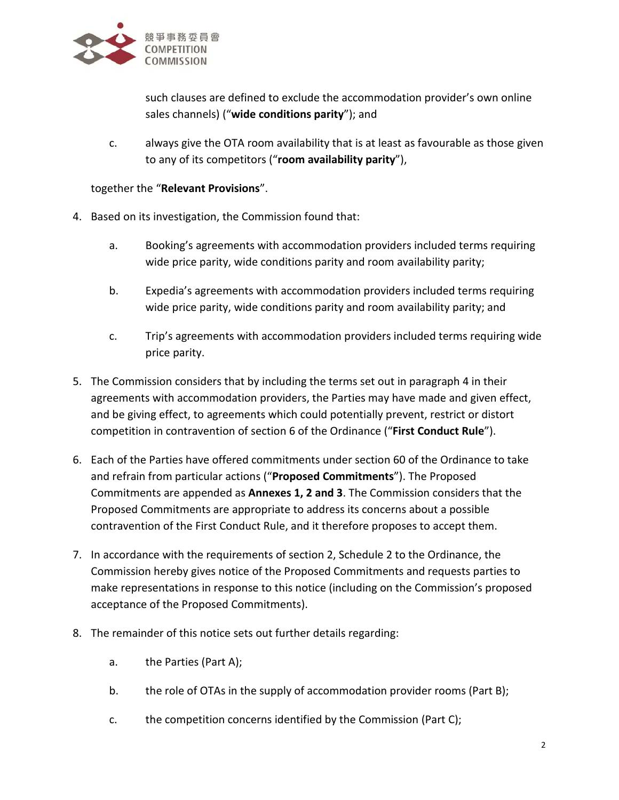

such clauses are defined to exclude the accommodation provider's own online sales channels) ("**wide conditions parity**"); and

c. always give the OTA room availability that is at least as favourable as those given to any of its competitors ("**room availability parity**"),

## together the "**Relevant Provisions**".

- 4. Based on its investigation, the Commission found that:
	- a. Booking's agreements with accommodation providers included terms requiring wide price parity, wide conditions parity and room availability parity;
	- b. Expedia's agreements with accommodation providers included terms requiring wide price parity, wide conditions parity and room availability parity; and
	- c. Trip's agreements with accommodation providers included terms requiring wide price parity.
- 5. The Commission considers that by including the terms set out in paragraph 4 in their agreements with accommodation providers, the Parties may have made and given effect, and be giving effect, to agreements which could potentially prevent, restrict or distort competition in contravention of section 6 of the Ordinance ("**First Conduct Rule**").
- 6. Each of the Parties have offered commitments under section 60 of the Ordinance to take and refrain from particular actions ("**Proposed Commitments**"). The Proposed Commitments are appended as **Annexes 1, 2 and 3**. The Commission considers that the Proposed Commitments are appropriate to address its concerns about a possible contravention of the First Conduct Rule, and it therefore proposes to accept them.
- 7. In accordance with the requirements of section 2, Schedule 2 to the Ordinance, the Commission hereby gives notice of the Proposed Commitments and requests parties to make representations in response to this notice (including on the Commission's proposed acceptance of the Proposed Commitments).
- 8. The remainder of this notice sets out further details regarding:
	- a. the Parties (Part A);
	- b. the role of OTAs in the supply of accommodation provider rooms (Part B);
	- c. the competition concerns identified by the Commission (Part C);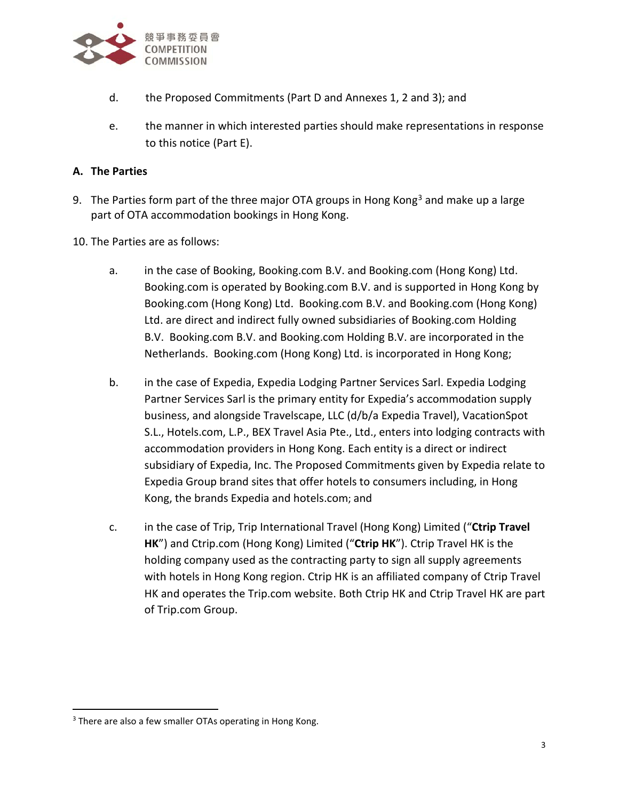

- d. the Proposed Commitments (Part D and Annexes 1, 2 and 3); and
- e. the manner in which interested parties should make representations in response to this notice (Part E).

## **A. The Parties**

- 9. The Parties form part of the three major OTA groups in Hong Kong<sup>[3](#page-2-0)</sup> and make up a large part of OTA accommodation bookings in Hong Kong.
- 10. The Parties are as follows:
	- a. in the case of Booking, Booking.com B.V. and Booking.com (Hong Kong) Ltd. Booking.com is operated by Booking.com B.V. and is supported in Hong Kong by Booking.com (Hong Kong) Ltd. Booking.com B.V. and Booking.com (Hong Kong) Ltd. are direct and indirect fully owned subsidiaries of Booking.com Holding B.V. Booking.com B.V. and Booking.com Holding B.V. are incorporated in the Netherlands. Booking.com (Hong Kong) Ltd. is incorporated in Hong Kong;
	- b. in the case of Expedia, Expedia Lodging Partner Services Sarl. Expedia Lodging Partner Services Sarl is the primary entity for Expedia's accommodation supply business, and alongside Travelscape, LLC (d/b/a Expedia Travel), VacationSpot S.L., Hotels.com, L.P., BEX Travel Asia Pte., Ltd., enters into lodging contracts with accommodation providers in Hong Kong. Each entity is a direct or indirect subsidiary of Expedia, Inc. The Proposed Commitments given by Expedia relate to Expedia Group brand sites that offer hotels to consumers including, in Hong Kong, the brands Expedia and hotels.com; and
	- c. in the case of Trip, Trip International Travel (Hong Kong) Limited ("**Ctrip Travel HK**") and Ctrip.com (Hong Kong) Limited ("**Ctrip HK**"). Ctrip Travel HK is the holding company used as the contracting party to sign all supply agreements with hotels in Hong Kong region. Ctrip HK is an affiliated company of Ctrip Travel HK and operates the Trip.com website. Both Ctrip HK and Ctrip Travel HK are part of Trip.com Group.

<span id="page-2-0"></span><sup>&</sup>lt;sup>3</sup> There are also a few smaller OTAs operating in Hong Kong.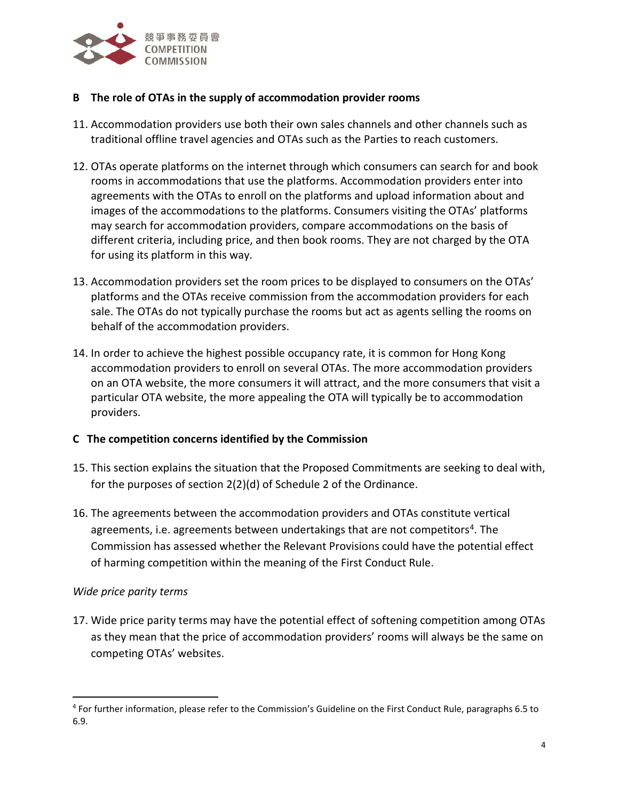

## **B The role of OTAs in the supply of accommodation provider rooms**

- 11. Accommodation providers use both their own sales channels and other channels such as traditional offline travel agencies and OTAs such as the Parties to reach customers.
- 12. OTAs operate platforms on the internet through which consumers can search for and book rooms in accommodations that use the platforms. Accommodation providers enter into agreements with the OTAs to enroll on the platforms and upload information about and images of the accommodations to the platforms. Consumers visiting the OTAs' platforms may search for accommodation providers, compare accommodations on the basis of different criteria, including price, and then book rooms. They are not charged by the OTA for using its platform in this way.
- 13. Accommodation providers set the room prices to be displayed to consumers on the OTAs' platforms and the OTAs receive commission from the accommodation providers for each sale. The OTAs do not typically purchase the rooms but act as agents selling the rooms on behalf of the accommodation providers.
- 14. In order to achieve the highest possible occupancy rate, it is common for Hong Kong accommodation providers to enroll on several OTAs. The more accommodation providers on an OTA website, the more consumers it will attract, and the more consumers that visit a particular OTA website, the more appealing the OTA will typically be to accommodation providers.

#### **C The competition concerns identified by the Commission**

- 15. This section explains the situation that the Proposed Commitments are seeking to deal with, for the purposes of section 2(2)(d) of Schedule 2 of the Ordinance.
- 16. The agreements between the accommodation providers and OTAs constitute vertical agreements, i.e. agreements between undertakings that are not competitors<sup>[4](#page-3-0)</sup>. The Commission has assessed whether the Relevant Provisions could have the potential effect of harming competition within the meaning of the First Conduct Rule.

#### *Wide price parity terms*

17. Wide price parity terms may have the potential effect of softening competition among OTAs as they mean that the price of accommodation providers' rooms will always be the same on competing OTAs' websites.

<span id="page-3-0"></span> <sup>4</sup> For further information, please refer to the Commission's Guideline on the First Conduct Rule, paragraphs 6.5 to 6.9.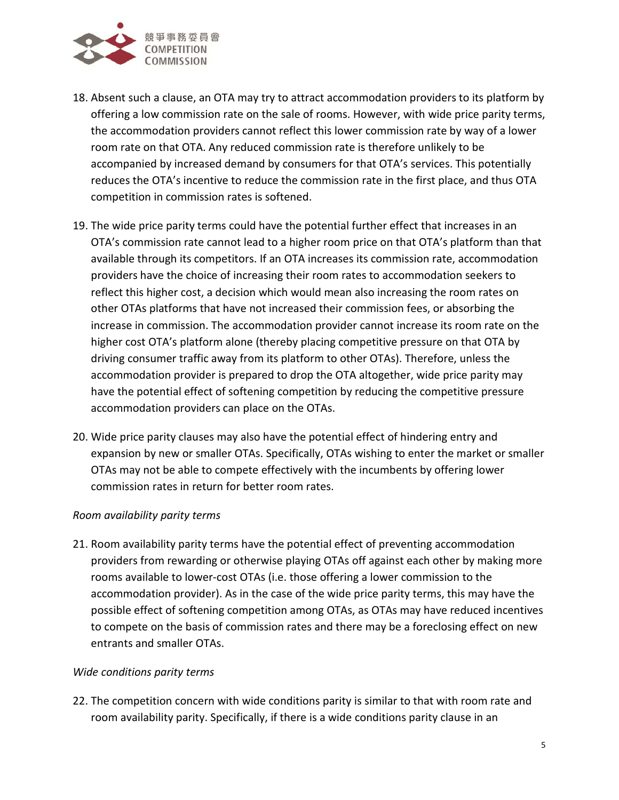

- 18. Absent such a clause, an OTA may try to attract accommodation providers to its platform by offering a low commission rate on the sale of rooms. However, with wide price parity terms, the accommodation providers cannot reflect this lower commission rate by way of a lower room rate on that OTA. Any reduced commission rate is therefore unlikely to be accompanied by increased demand by consumers for that OTA's services. This potentially reduces the OTA's incentive to reduce the commission rate in the first place, and thus OTA competition in commission rates is softened.
- 19. The wide price parity terms could have the potential further effect that increases in an OTA's commission rate cannot lead to a higher room price on that OTA's platform than that available through its competitors. If an OTA increases its commission rate, accommodation providers have the choice of increasing their room rates to accommodation seekers to reflect this higher cost, a decision which would mean also increasing the room rates on other OTAs platforms that have not increased their commission fees, or absorbing the increase in commission. The accommodation provider cannot increase its room rate on the higher cost OTA's platform alone (thereby placing competitive pressure on that OTA by driving consumer traffic away from its platform to other OTAs). Therefore, unless the accommodation provider is prepared to drop the OTA altogether, wide price parity may have the potential effect of softening competition by reducing the competitive pressure accommodation providers can place on the OTAs.
- 20. Wide price parity clauses may also have the potential effect of hindering entry and expansion by new or smaller OTAs. Specifically, OTAs wishing to enter the market or smaller OTAs may not be able to compete effectively with the incumbents by offering lower commission rates in return for better room rates.

#### *Room availability parity terms*

21. Room availability parity terms have the potential effect of preventing accommodation providers from rewarding or otherwise playing OTAs off against each other by making more rooms available to lower-cost OTAs (i.e. those offering a lower commission to the accommodation provider). As in the case of the wide price parity terms, this may have the possible effect of softening competition among OTAs, as OTAs may have reduced incentives to compete on the basis of commission rates and there may be a foreclosing effect on new entrants and smaller OTAs.

#### *Wide conditions parity terms*

22. The competition concern with wide conditions parity is similar to that with room rate and room availability parity. Specifically, if there is a wide conditions parity clause in an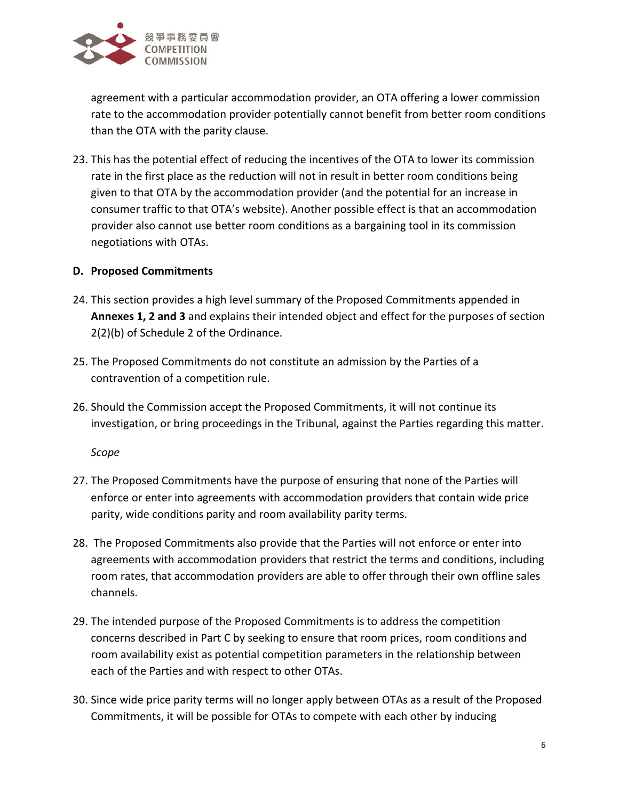

agreement with a particular accommodation provider, an OTA offering a lower commission rate to the accommodation provider potentially cannot benefit from better room conditions than the OTA with the parity clause.

23. This has the potential effect of reducing the incentives of the OTA to lower its commission rate in the first place as the reduction will not in result in better room conditions being given to that OTA by the accommodation provider (and the potential for an increase in consumer traffic to that OTA's website). Another possible effect is that an accommodation provider also cannot use better room conditions as a bargaining tool in its commission negotiations with OTAs.

## **D. Proposed Commitments**

- 24. This section provides a high level summary of the Proposed Commitments appended in **Annexes 1, 2 and 3** and explains their intended object and effect for the purposes of section 2(2)(b) of Schedule 2 of the Ordinance.
- 25. The Proposed Commitments do not constitute an admission by the Parties of a contravention of a competition rule.
- 26. Should the Commission accept the Proposed Commitments, it will not continue its investigation, or bring proceedings in the Tribunal, against the Parties regarding this matter.

*Scope*

- 27. The Proposed Commitments have the purpose of ensuring that none of the Parties will enforce or enter into agreements with accommodation providers that contain wide price parity, wide conditions parity and room availability parity terms.
- 28. The Proposed Commitments also provide that the Parties will not enforce or enter into agreements with accommodation providers that restrict the terms and conditions, including room rates, that accommodation providers are able to offer through their own offline sales channels.
- 29. The intended purpose of the Proposed Commitments is to address the competition concerns described in Part C by seeking to ensure that room prices, room conditions and room availability exist as potential competition parameters in the relationship between each of the Parties and with respect to other OTAs.
- 30. Since wide price parity terms will no longer apply between OTAs as a result of the Proposed Commitments, it will be possible for OTAs to compete with each other by inducing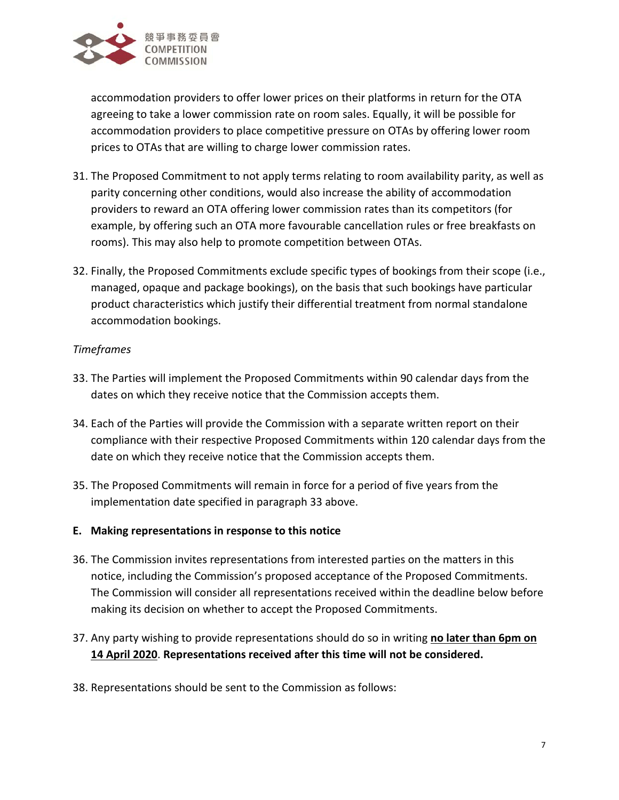

accommodation providers to offer lower prices on their platforms in return for the OTA agreeing to take a lower commission rate on room sales. Equally, it will be possible for accommodation providers to place competitive pressure on OTAs by offering lower room prices to OTAs that are willing to charge lower commission rates.

- 31. The Proposed Commitment to not apply terms relating to room availability parity, as well as parity concerning other conditions, would also increase the ability of accommodation providers to reward an OTA offering lower commission rates than its competitors (for example, by offering such an OTA more favourable cancellation rules or free breakfasts on rooms). This may also help to promote competition between OTAs.
- 32. Finally, the Proposed Commitments exclude specific types of bookings from their scope (i.e., managed, opaque and package bookings), on the basis that such bookings have particular product characteristics which justify their differential treatment from normal standalone accommodation bookings.

## *Timeframes*

- <span id="page-6-0"></span>33. The Parties will implement the Proposed Commitments within 90 calendar days from the dates on which they receive notice that the Commission accepts them.
- 34. Each of the Parties will provide the Commission with a separate written report on their compliance with their respective Proposed Commitments within 120 calendar days from the date on which they receive notice that the Commission accepts them.
- 35. The Proposed Commitments will remain in force for a period of five years from the implementation date specified in paragrap[h 33](#page-6-0) above.
- **E. Making representations in response to this notice**
- 36. The Commission invites representations from interested parties on the matters in this notice, including the Commission's proposed acceptance of the Proposed Commitments. The Commission will consider all representations received within the deadline below before making its decision on whether to accept the Proposed Commitments.
- 37. Any party wishing to provide representations should do so in writing **no later than 6pm on 14 April 2020**. **Representations received after this time will not be considered.**
- 38. Representations should be sent to the Commission as follows: